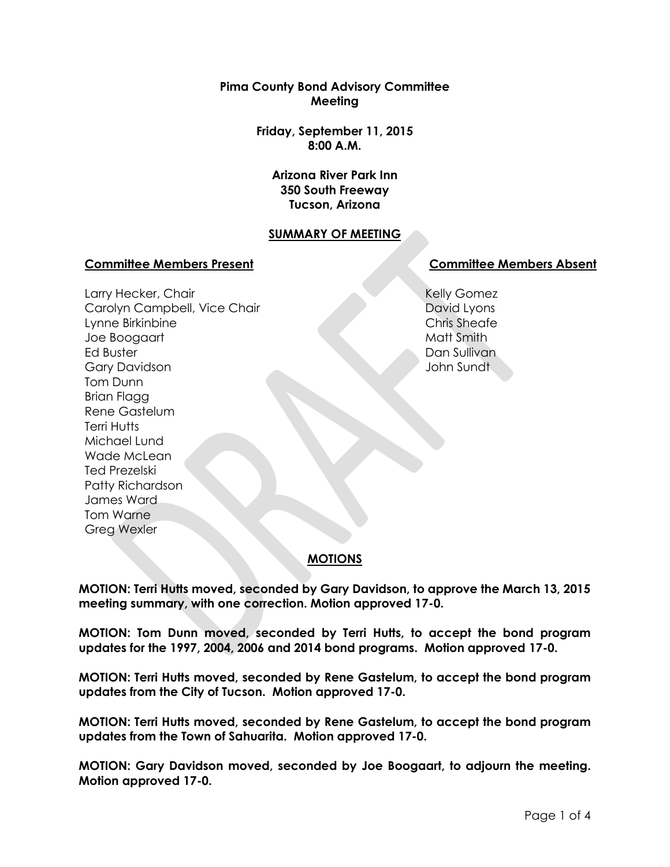**Pima County Bond Advisory Committee Meeting**

> **Friday, September 11, 2015 8:00 A.M.**

**Arizona River Park Inn 350 South Freeway Tucson, Arizona**

# **SUMMARY OF MEETING**

#### **Committee Members Present Committee Members Absent**

Larry Hecker, Chair Carolyn Campbell, Vice Chair Lynne Birkinbine Joe Boogaart Ed Buster Gary Davidson Tom Dunn Brian Flagg Rene Gastelum Terri Hutts Michael Lund Wade McLean Ted Prezelski Patty Richardson James Ward Tom Warne Greg Wexler

Kelly Gomez David Lyons Chris Sheafe Matt Smith Dan Sullivan John Sundt

# **MOTIONS**

**MOTION: Terri Hutts moved, seconded by Gary Davidson, to approve the March 13, 2015 meeting summary, with one correction. Motion approved 17-0.**

**MOTION: Tom Dunn moved, seconded by Terri Hutts, to accept the bond program updates for the 1997, 2004, 2006 and 2014 bond programs. Motion approved 17-0.**

**MOTION: Terri Hutts moved, seconded by Rene Gastelum, to accept the bond program updates from the City of Tucson. Motion approved 17-0.**

**MOTION: Terri Hutts moved, seconded by Rene Gastelum, to accept the bond program updates from the Town of Sahuarita. Motion approved 17-0.**

**MOTION: Gary Davidson moved, seconded by Joe Boogaart, to adjourn the meeting. Motion approved 17-0.**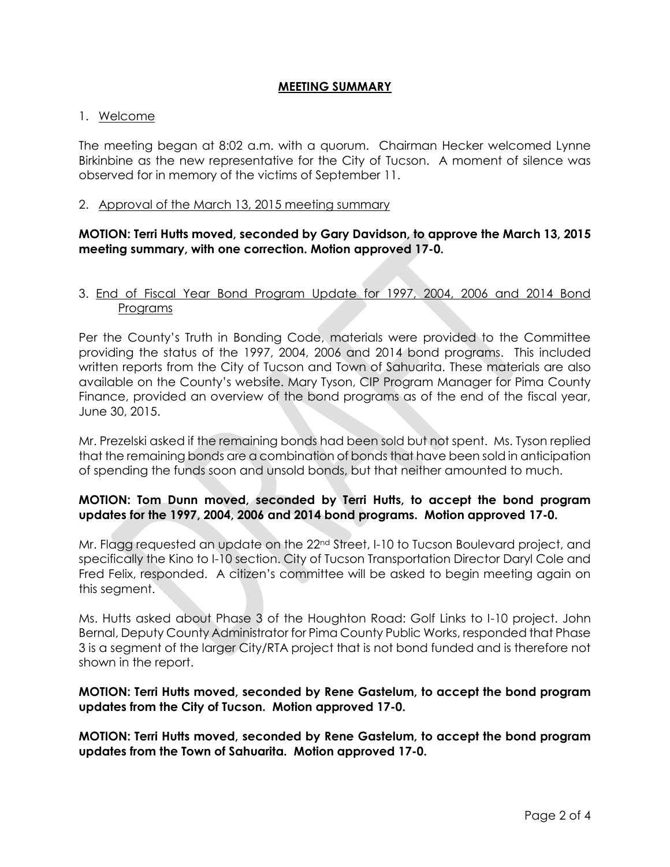## **MEETING SUMMARY**

#### 1. Welcome

The meeting began at 8:02 a.m. with a quorum. Chairman Hecker welcomed Lynne Birkinbine as the new representative for the City of Tucson. A moment of silence was observed for in memory of the victims of September 11.

#### 2. Approval of the March 13, 2015 meeting summary

## **MOTION: Terri Hutts moved, seconded by Gary Davidson, to approve the March 13, 2015 meeting summary, with one correction. Motion approved 17-0.**

## 3. End of Fiscal Year Bond Program Update for 1997, 2004, 2006 and 2014 Bond Programs

Per the County's Truth in Bonding Code, materials were provided to the Committee providing the status of the 1997, 2004, 2006 and 2014 bond programs. This included written reports from the City of Tucson and Town of Sahuarita. These materials are also available on the County's website. Mary Tyson, CIP Program Manager for Pima County Finance, provided an overview of the bond programs as of the end of the fiscal year, June 30, 2015.

Mr. Prezelski asked if the remaining bonds had been sold but not spent. Ms. Tyson replied that the remaining bonds are a combination of bonds that have been sold in anticipation of spending the funds soon and unsold bonds, but that neither amounted to much.

# **MOTION: Tom Dunn moved, seconded by Terri Hutts, to accept the bond program updates for the 1997, 2004, 2006 and 2014 bond programs. Motion approved 17-0.**

Mr. Flagg requested an update on the 22<sup>nd</sup> Street, I-10 to Tucson Boulevard project, and specifically the Kino to I-10 section. City of Tucson Transportation Director Daryl Cole and Fred Felix, responded. A citizen's committee will be asked to begin meeting again on this segment.

Ms. Hutts asked about Phase 3 of the Houghton Road: Golf Links to I-10 project. John Bernal, Deputy County Administrator for Pima County Public Works, responded that Phase 3 is a segment of the larger City/RTA project that is not bond funded and is therefore not shown in the report.

## **MOTION: Terri Hutts moved, seconded by Rene Gastelum, to accept the bond program updates from the City of Tucson. Motion approved 17-0.**

**MOTION: Terri Hutts moved, seconded by Rene Gastelum, to accept the bond program updates from the Town of Sahuarita. Motion approved 17-0.**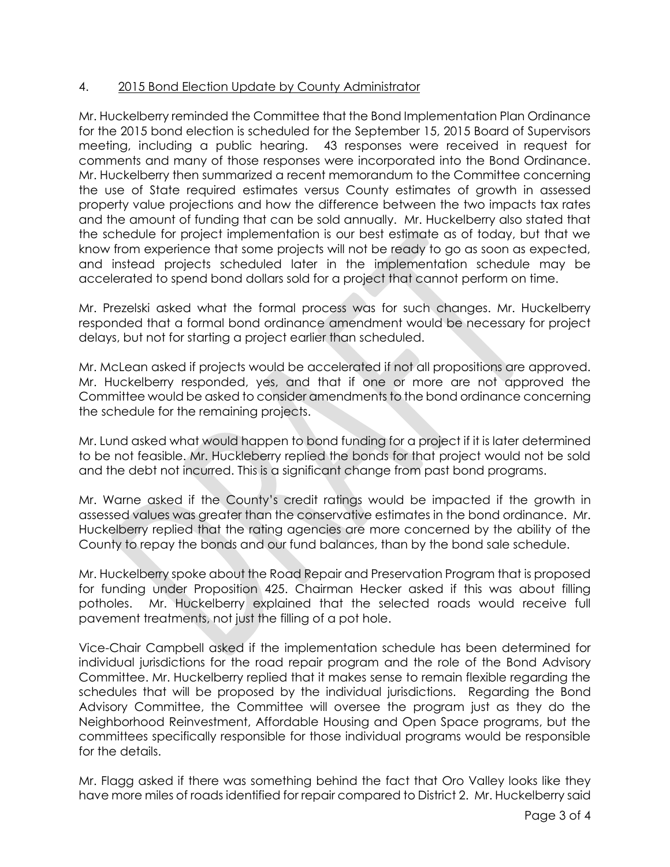# 4. 2015 Bond Election Update by County Administrator

Mr. Huckelberry reminded the Committee that the Bond Implementation Plan Ordinance for the 2015 bond election is scheduled for the September 15, 2015 Board of Supervisors meeting, including a public hearing. 43 responses were received in request for comments and many of those responses were incorporated into the Bond Ordinance. Mr. Huckelberry then summarized a recent memorandum to the Committee concerning the use of State required estimates versus County estimates of growth in assessed property value projections and how the difference between the two impacts tax rates and the amount of funding that can be sold annually. Mr. Huckelberry also stated that the schedule for project implementation is our best estimate as of today, but that we know from experience that some projects will not be ready to go as soon as expected, and instead projects scheduled later in the implementation schedule may be accelerated to spend bond dollars sold for a project that cannot perform on time.

Mr. Prezelski asked what the formal process was for such changes. Mr. Huckelberry responded that a formal bond ordinance amendment would be necessary for project delays, but not for starting a project earlier than scheduled.

Mr. McLean asked if projects would be accelerated if not all propositions are approved. Mr. Huckelberry responded, yes, and that if one or more are not approved the Committee would be asked to consider amendments to the bond ordinance concerning the schedule for the remaining projects.

Mr. Lund asked what would happen to bond funding for a project if it is later determined to be not feasible. Mr. Huckleberry replied the bonds for that project would not be sold and the debt not incurred. This is a significant change from past bond programs.

Mr. Warne asked if the County's credit ratings would be impacted if the growth in assessed values was greater than the conservative estimates in the bond ordinance. Mr. Huckelberry replied that the rating agencies are more concerned by the ability of the County to repay the bonds and our fund balances, than by the bond sale schedule.

Mr. Huckelberry spoke about the Road Repair and Preservation Program that is proposed for funding under Proposition 425. Chairman Hecker asked if this was about filling potholes. Mr. Huckelberry explained that the selected roads would receive full pavement treatments, not just the filling of a pot hole.

Vice-Chair Campbell asked if the implementation schedule has been determined for individual jurisdictions for the road repair program and the role of the Bond Advisory Committee. Mr. Huckelberry replied that it makes sense to remain flexible regarding the schedules that will be proposed by the individual jurisdictions. Regarding the Bond Advisory Committee, the Committee will oversee the program just as they do the Neighborhood Reinvestment, Affordable Housing and Open Space programs, but the committees specifically responsible for those individual programs would be responsible for the details.

Mr. Flagg asked if there was something behind the fact that Oro Valley looks like they have more miles of roads identified for repair compared to District 2. Mr. Huckelberry said